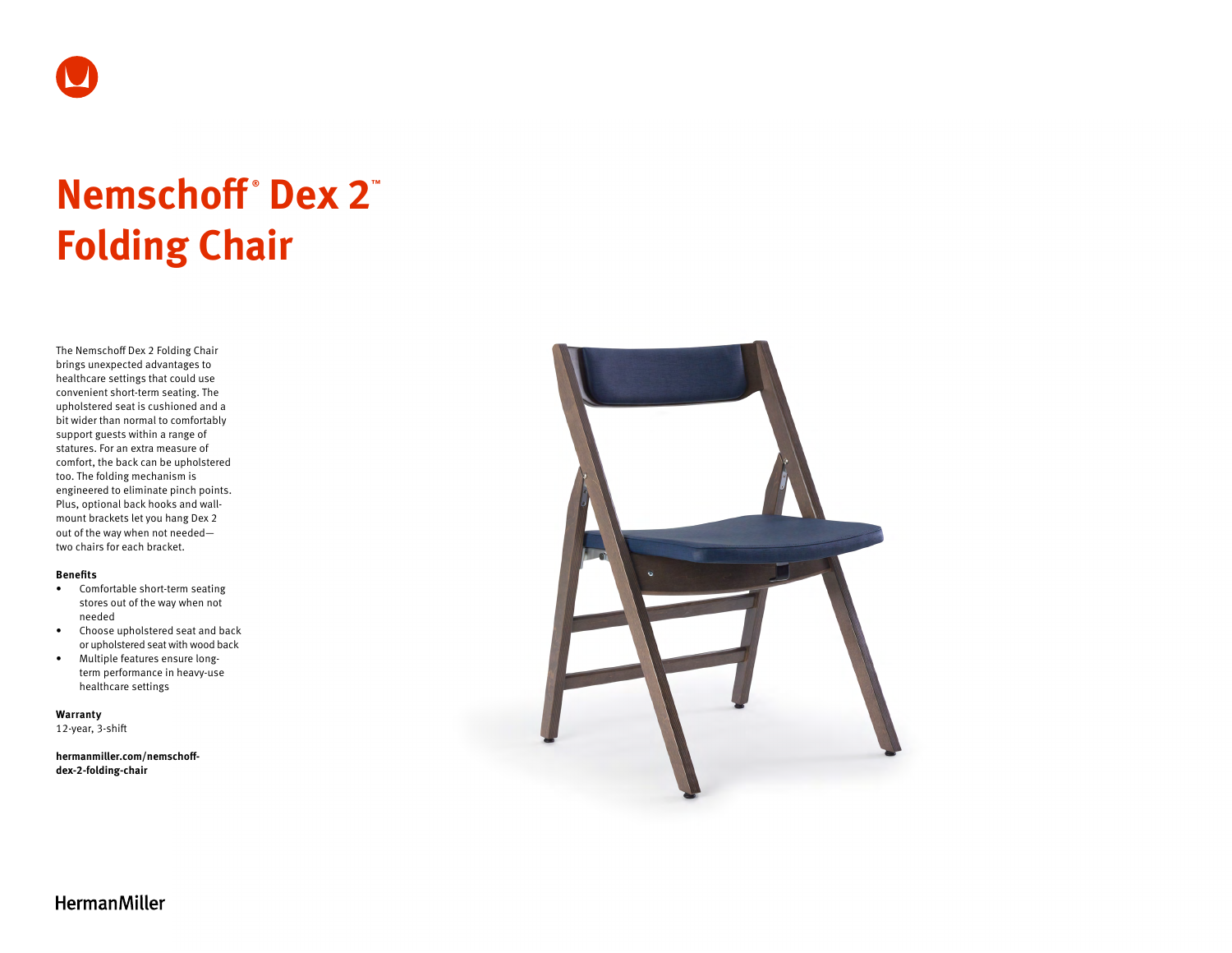

# **Nemschoff ® Dex 2™ Folding Chair**

The Nemschoff Dex 2 Folding Chair brings unexpected advantages to healthcare settings that could use convenient short-term seating. The upholstered seat is cushioned and a bit wider than normal to comfortably support guests within a range of statures. For an extra measure of comfort, the back can be upholstered too. The folding mechanism is engineered to eliminate pinch points. Plus, optional back hooks and wallmount brackets let you hang Dex 2 out of the way when not needed two chairs for each bracket.

#### **Benefits**

- Comfortable short-term seating stores out of the way when not needed
- Choose upholstered seat and back or upholstered seat with wood back
- Multiple features ensure longterm performance in heavy-use healthcare settings

**Warranty**  12-year, 3-shift

**[hermanmiller.com/nemschoff](http://hermanmiller.com/nemschoff-dex-2-folding-chair)[dex-2-folding-chair](http://hermanmiller.com/nemschoff-dex-2-folding-chair)**